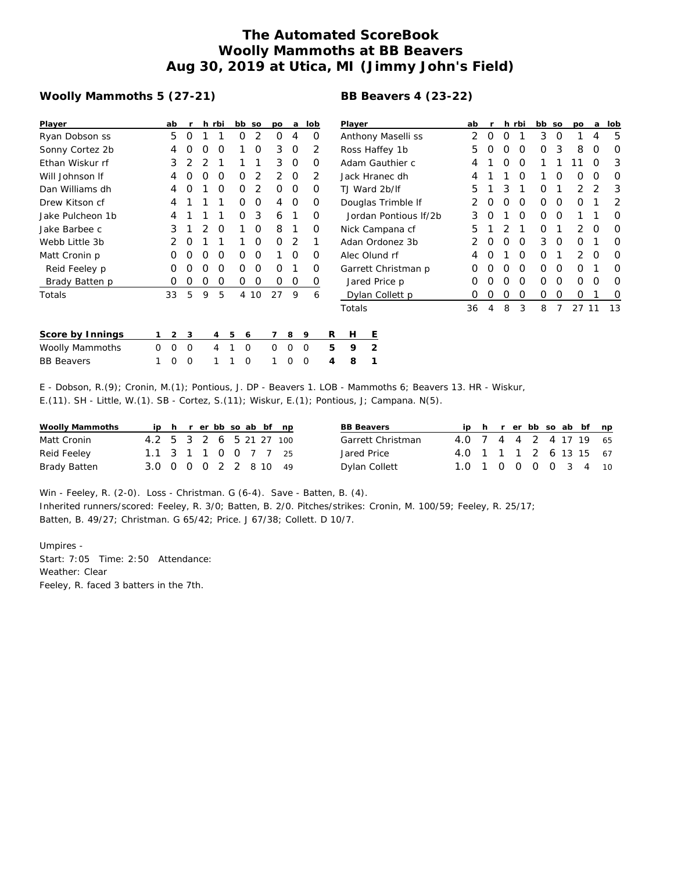## **The Automated ScoreBook Woolly Mammoths at BB Beavers Aug 30, 2019 at Utica, MI (Jimmy John's Field)**

## **Woolly Mammoths 5 (27-21)**

## **BB Beavers 4 (23-22)**

| Player            |          | ab       | r           |   | h rbi          |          | bb so       | po            | a           | lob |               | Player                |                    | ab |   |          | h rbi       | bb so       |               | po       | a        | lob      |
|-------------------|----------|----------|-------------|---|----------------|----------|-------------|---------------|-------------|-----|---------------|-----------------------|--------------------|----|---|----------|-------------|-------------|---------------|----------|----------|----------|
| Ryan Dobson ss    |          | 5        | $\Omega$    |   |                | 0        | 2           | 0             | 4           |     | 0             |                       | Anthony Maselli ss | 2  | 0 | $\Omega$ |             | 3           | 0             |          | 4        | 5        |
| Sonny Cortez 2b   |          | 4        | O           |   | O              |          | 0           | 3             | $\Omega$    |     | 2             |                       | Ross Haffey 1b     | 5. | O | O        | $\Omega$    | 0           | 3             | 8        | O        | 0        |
| Ethan Wiskur rf   |          | 3        |             |   |                |          |             | 3             | $\Omega$    |     | $\Omega$      |                       | Adam Gauthier c    | 4  |   | O        | $\Omega$    |             |               |          | O        | 3        |
| Will Johnson If   |          | 4        |             | ∩ | $\Omega$       | $\Omega$ | 2           | $\mathcal{P}$ | $\Omega$    |     | $\mathcal{P}$ |                       | Jack Hranec dh     | 4  |   |          | $\Omega$    |             | O             | $\Omega$ | $\Omega$ | $\Omega$ |
| Dan Williams dh   |          | 4        | O           |   | $\Omega$       | $\Omega$ | 2           | $\Omega$      | $\Omega$    |     | O             | TJ Ward 2b/lf         | 5                  |    | 3 |          | $\Omega$    |             | $\mathcal{P}$ | 2        | 3        |          |
| Drew Kitson cf    |          | 4        |             |   |                | 0        | 0           | 4             | 0           |     | 0             | Douglas Trimble If    |                    |    | O | $\Omega$ | $\mathbf 0$ | 0           | $\mathbf 0$   |          | 2        |          |
| Jake Pulcheon 1b  |          | 4        |             |   |                | 0        | 3           | 6             |             |     | $\Omega$      | Jordan Pontious If/2b | 3                  |    |   | $\Omega$ | 0           | 0           |               |          | $\Omega$ |          |
| Jake Barbee c     |          | 3        |             |   | O              |          | 0           | 8             |             |     | 0             | Nick Campana cf       | 5                  |    |   |          | 0           |             | 2             | O        | $\Omega$ |          |
| Webb Little 3b    |          |          |             |   |                |          | 0           | $\Omega$      | 2           |     |               | Adan Ordonez 3b       |                    |    |   | $\Omega$ | 3           | O           | 0             |          | O        |          |
| Matt Cronin p     |          |          |             |   | O              | O        | 0           |               | O           |     | O             | Alec Olund rf         | 4                  |    |   | $\Omega$ | 0           |             | 2             | O        | $\Omega$ |          |
| Reid Feeley p     |          | O        |             |   | O              | Ο        | 0           | O             |             |     | O             | Garrett Christman p   | O                  |    |   | $\Omega$ | 0           | O           | O             |          | $\Omega$ |          |
| Brady Batten p    |          | O        | O           | O | O              | 0        | 0           | $\Omega$      | 0           |     | 0             |                       | Jared Price p      | O  |   | O        | $\Omega$    | Ο           | O             | O        | $\Omega$ | $\Omega$ |
| Totals            |          | 33       | 5           | 9 | 5              |          | 4 10        | 27            | 9           |     | 6             |                       | Dylan Collett p    | O  | O | O        | 0           | $\mathbf 0$ | 0             | 0        |          | 0        |
|                   |          |          |             |   |                |          |             |               |             |     |               | Totals                |                    | 36 | 4 | 8        | 3           | 8           |               | 27       | 11       | 13       |
| Score by Innings  |          | 2        | 3           |   | 4              | 5        | 6           |               | 8           | 9   | R             | Н                     | Ε                  |    |   |          |             |             |               |          |          |          |
| Woolly Mammoths   | $\Omega$ | $\Omega$ | $\mathbf 0$ |   | $\overline{4}$ |          | $\Omega$    | 0             | $\mathbf 0$ | 0   | 5             | 9                     | 2                  |    |   |          |             |             |               |          |          |          |
| <b>BB</b> Beavers |          | 0        | 0           |   |                |          | $\mathbf 0$ |               | 0           | 0   | 4             | 8                     |                    |    |   |          |             |             |               |          |          |          |

E - Dobson, R.(9); Cronin, M.(1); Pontious, J. DP - Beavers 1. LOB - Mammoths 6; Beavers 13. HR - Wiskur, E.(11). SH - Little, W.(1). SB - Cortez, S.(11); Wiskur, E.(1); Pontious, J; Campana. N(5).

| Woolly Mammoths |                         |  |  |  | ip h r er bb so ab bf np |  | <b>BB Beavers</b> |                        |  |  |  | ip h r er bb so ab bf np |  |
|-----------------|-------------------------|--|--|--|--------------------------|--|-------------------|------------------------|--|--|--|--------------------------|--|
| Matt Cronin     | 4.2 5 3 2 6 5 21 27 100 |  |  |  |                          |  | Garrett Christman | 4.0 7 4 4 2 4 17 19 65 |  |  |  |                          |  |
| Reid Feeley     | 1.1 3 1 1 0 0 7 7 25    |  |  |  |                          |  | Jared Price       | 4.0 1 1 1 2 6 13 15 67 |  |  |  |                          |  |
| Brady Batten    | 3.0 0 0 0 2 2 8 10 49   |  |  |  |                          |  | Dylan Collett     | 1.0 1 0 0 0 0 3 4 10   |  |  |  |                          |  |

Win - Feeley, R. (2-0). Loss - Christman. G (6-4). Save - Batten, B. (4). Inherited runners/scored: Feeley, R. 3/0; Batten, B. 2/0. Pitches/strikes: Cronin, M. 100/59; Feeley, R. 25/17; Batten, B. 49/27; Christman. G 65/42; Price. J 67/38; Collett. D 10/7.

Umpires - Start: 7:05 Time: 2:50 Attendance: Weather: Clear Feeley, R. faced 3 batters in the 7th.